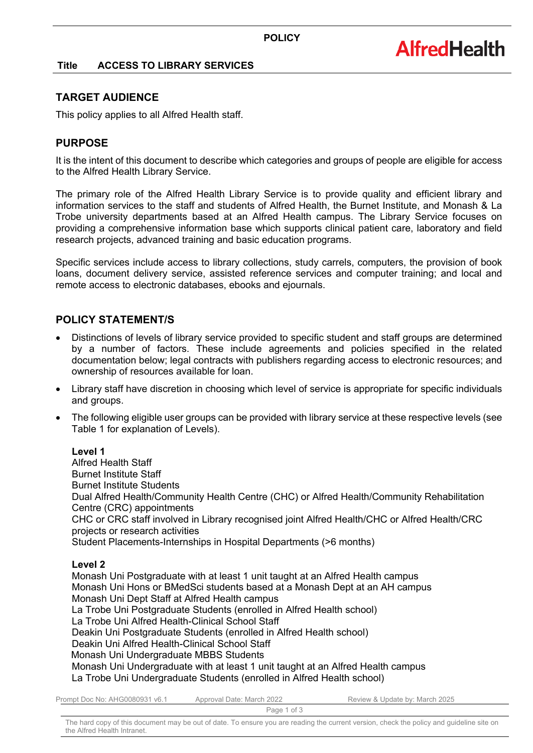## **Title ACCESS TO LIBRARY SERVICES**

## **TARGET AUDIENCE**

This policy applies to all Alfred Health staff.

# **PURPOSE**

It is the intent of this document to describe which categories and groups of people are eligible for access to the Alfred Health Library Service.

The primary role of the Alfred Health Library Service is to provide quality and efficient library and information services to the staff and students of Alfred Health, the Burnet Institute, and Monash & La Trobe university departments based at an Alfred Health campus. The Library Service focuses on providing a comprehensive information base which supports clinical patient care, laboratory and field research projects, advanced training and basic education programs.

Specific services include access to library collections, study carrels, computers, the provision of book loans, document delivery service, assisted reference services and computer training; and local and remote access to electronic databases, ebooks and ejournals.

# **POLICY STATEMENT/S**

- Distinctions of levels of library service provided to specific student and staff groups are determined by a number of factors. These include agreements and policies specified in the related documentation below; legal contracts with publishers regarding access to electronic resources; and ownership of resources available for loan.
- Library staff have discretion in choosing which level of service is appropriate for specific individuals and groups.
- The following eligible user groups can be provided with library service at these respective levels (see Table 1 for explanation of Levels).

## **Level 1**

Alfred Health Staff Burnet Institute Staff Burnet Institute Students Dual Alfred Health/Community Health Centre (CHC) or Alfred Health/Community Rehabilitation Centre (CRC) appointments CHC or CRC staff involved in Library recognised joint Alfred Health/CHC or Alfred Health/CRC projects or research activities Student Placements-Internships in Hospital Departments (>6 months)

#### **Level 2**

Monash Uni Postgraduate with at least 1 unit taught at an Alfred Health campus Monash Uni Hons or BMedSci students based at a Monash Dept at an AH campus Monash Uni Dept Staff at Alfred Health campus La Trobe Uni Postgraduate Students (enrolled in Alfred Health school) La Trobe Uni Alfred Health-Clinical School Staff Deakin Uni Postgraduate Students (enrolled in Alfred Health school) Deakin Uni Alfred Health-Clinical School Staff Monash Uni Undergraduate MBBS Students Monash Uni Undergraduate with at least 1 unit taught at an Alfred Health campus La Trobe Uni Undergraduate Students (enrolled in Alfred Health school)

| Prompt Doc No: AHG0080931 v6.1 | Approval Date: March 2022 | Review & Update by: March 2025 |
|--------------------------------|---------------------------|--------------------------------|
|                                | Page 1 of 3               |                                |

The hard copy of this document may be out of date. To ensure you are reading the current version, check the policy and guideline site on the Alfred Health Intranet.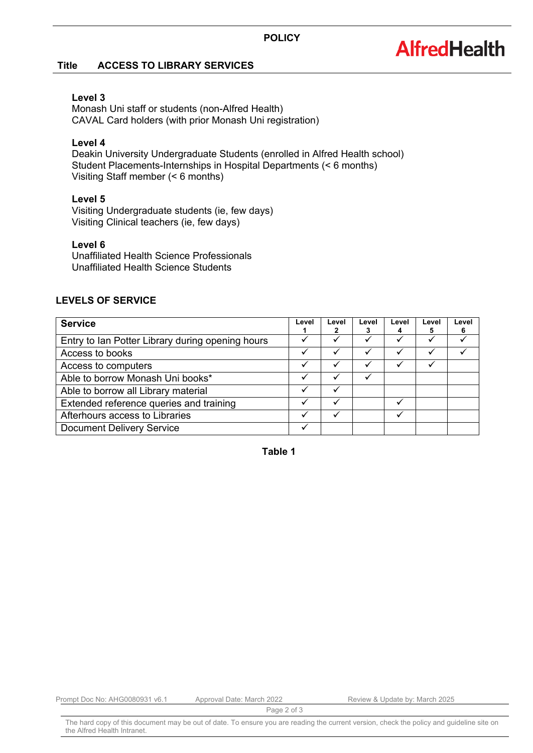# **AlfredHealth**

## **Title ACCESS TO LIBRARY SERVICES**

## **Level 3**

Monash Uni staff or students (non-Alfred Health) CAVAL Card holders (with prior Monash Uni registration)

## **Level 4**

Deakin University Undergraduate Students (enrolled in Alfred Health school) Student Placements-Internships in Hospital Departments (< 6 months) Visiting Staff member (< 6 months)

## **Level 5**

Visiting Undergraduate students (ie, few days) Visiting Clinical teachers (ie, few days)

## **Level 6**

Unaffiliated Health Science Professionals Unaffiliated Health Science Students

# **LEVELS OF SERVICE**

| <b>Service</b>                                   | Level | Level | Level | Level | Level | Level<br>6 |
|--------------------------------------------------|-------|-------|-------|-------|-------|------------|
| Entry to Ian Potter Library during opening hours |       |       |       |       |       |            |
| Access to books                                  |       |       |       |       |       |            |
| Access to computers                              | ✓     |       |       |       |       |            |
| Able to borrow Monash Uni books*                 |       |       |       |       |       |            |
| Able to borrow all Library material              |       |       |       |       |       |            |
| Extended reference queries and training          |       |       |       |       |       |            |
| Afterhours access to Libraries                   |       |       |       |       |       |            |
| <b>Document Delivery Service</b>                 |       |       |       |       |       |            |

**Table 1**

Prompt Doc No: AHG0080931 v6.1 Approval Date: March 2022 Review & Update by: March 2025

Page 2 of 3

The hard copy of this document may be out of date. To ensure you are reading the current version, check the policy and guideline site on the Alfred Health Intranet.